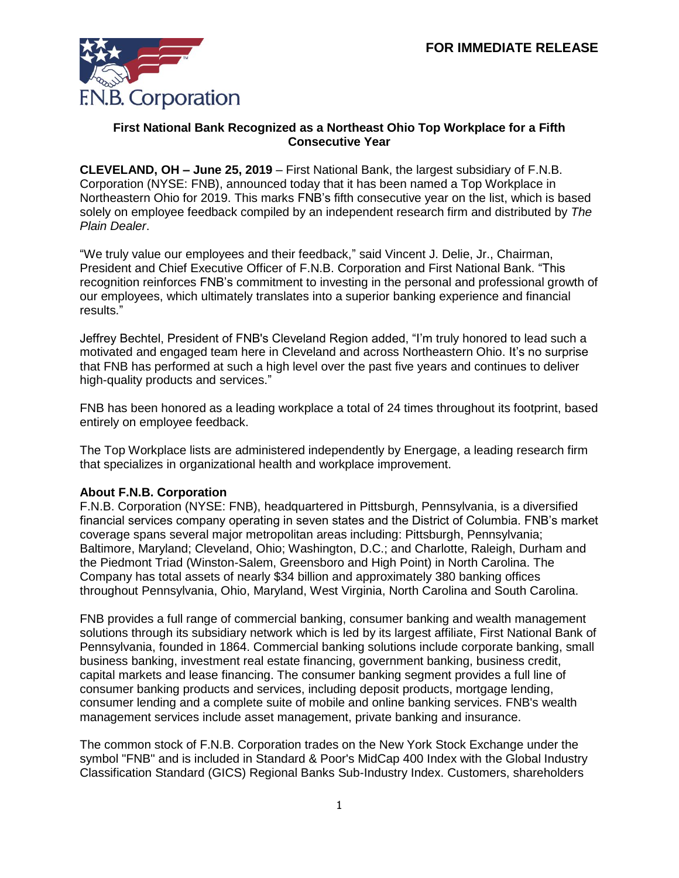

## **First National Bank Recognized as a Northeast Ohio Top Workplace for a Fifth Consecutive Year**

**CLEVELAND, OH – June 25, 2019** – First National Bank, the largest subsidiary of F.N.B. Corporation (NYSE: FNB), announced today that it has been named a Top Workplace in Northeastern Ohio for 2019. This marks FNB's fifth consecutive year on the list, which is based solely on employee feedback compiled by an independent research firm and distributed by *The Plain Dealer*.

"We truly value our employees and their feedback," said Vincent J. Delie, Jr., Chairman, President and Chief Executive Officer of F.N.B. Corporation and First National Bank. "This recognition reinforces FNB's commitment to investing in the personal and professional growth of our employees, which ultimately translates into a superior banking experience and financial results."

Jeffrey Bechtel, President of FNB's Cleveland Region added, "I'm truly honored to lead such a motivated and engaged team here in Cleveland and across Northeastern Ohio. It's no surprise that FNB has performed at such a high level over the past five years and continues to deliver high-quality products and services."

FNB has been honored as a leading workplace a total of 24 times throughout its footprint, based entirely on employee feedback.

The Top Workplace lists are administered independently by Energage, a leading research firm that specializes in organizational health and workplace improvement.

## **About F.N.B. Corporation**

F.N.B. Corporation (NYSE: FNB), headquartered in Pittsburgh, Pennsylvania, is a diversified financial services company operating in seven states and the District of Columbia. FNB's market coverage spans several major metropolitan areas including: Pittsburgh, Pennsylvania; Baltimore, Maryland; Cleveland, Ohio; Washington, D.C.; and Charlotte, Raleigh, Durham and the Piedmont Triad (Winston-Salem, Greensboro and High Point) in North Carolina. The Company has total assets of nearly \$34 billion and approximately 380 banking offices throughout Pennsylvania, Ohio, Maryland, West Virginia, North Carolina and South Carolina.

FNB provides a full range of commercial banking, consumer banking and wealth management solutions through its subsidiary network which is led by its largest affiliate, First National Bank of Pennsylvania, founded in 1864. Commercial banking solutions include corporate banking, small business banking, investment real estate financing, government banking, business credit, capital markets and lease financing. The consumer banking segment provides a full line of consumer banking products and services, including deposit products, mortgage lending, consumer lending and a complete suite of mobile and online banking services. FNB's wealth management services include asset management, private banking and insurance.

The common stock of F.N.B. Corporation trades on the New York Stock Exchange under the symbol "FNB" and is included in Standard & Poor's MidCap 400 Index with the Global Industry Classification Standard (GICS) Regional Banks Sub-Industry Index. Customers, shareholders